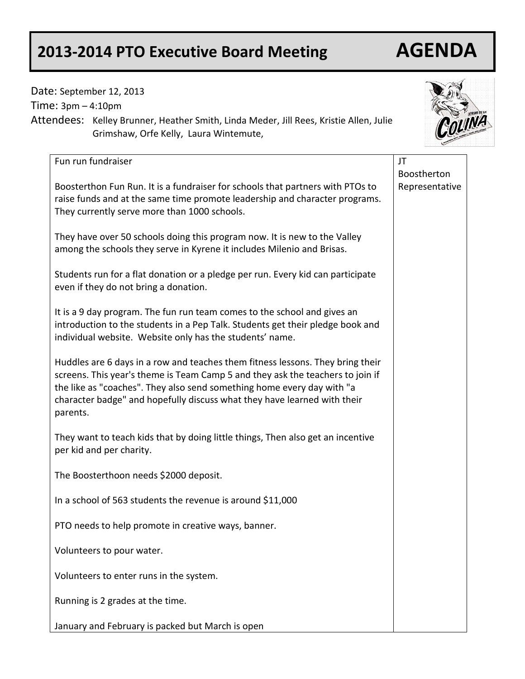# **2013-2014 PTO Executive Board Meeting AGENDA**

# Date: September 12, 2013

Time: 3pm – 4:10pm

Attendees: Kelley Brunner, Heather Smith, Linda Meder, Jill Rees, Kristie Allen, Julie Grimshaw, Orfe Kelly, Laura Wintemute,

| Fun run fundraiser                                                                                                                                                                                                                                                                                                                 | JT                            |
|------------------------------------------------------------------------------------------------------------------------------------------------------------------------------------------------------------------------------------------------------------------------------------------------------------------------------------|-------------------------------|
| Boosterthon Fun Run. It is a fundraiser for schools that partners with PTOs to<br>raise funds and at the same time promote leadership and character programs.<br>They currently serve more than 1000 schools.                                                                                                                      | Boostherton<br>Representative |
| They have over 50 schools doing this program now. It is new to the Valley<br>among the schools they serve in Kyrene it includes Milenio and Brisas.                                                                                                                                                                                |                               |
| Students run for a flat donation or a pledge per run. Every kid can participate<br>even if they do not bring a donation.                                                                                                                                                                                                           |                               |
| It is a 9 day program. The fun run team comes to the school and gives an<br>introduction to the students in a Pep Talk. Students get their pledge book and<br>individual website. Website only has the students' name.                                                                                                             |                               |
| Huddles are 6 days in a row and teaches them fitness lessons. They bring their<br>screens. This year's theme is Team Camp 5 and they ask the teachers to join if<br>the like as "coaches". They also send something home every day with "a<br>character badge" and hopefully discuss what they have learned with their<br>parents. |                               |
| They want to teach kids that by doing little things, Then also get an incentive<br>per kid and per charity.                                                                                                                                                                                                                        |                               |
| The Boosterthoon needs \$2000 deposit.                                                                                                                                                                                                                                                                                             |                               |
| In a school of 563 students the revenue is around \$11,000                                                                                                                                                                                                                                                                         |                               |
| PTO needs to help promote in creative ways, banner.                                                                                                                                                                                                                                                                                |                               |
| Volunteers to pour water.                                                                                                                                                                                                                                                                                                          |                               |
| Volunteers to enter runs in the system.                                                                                                                                                                                                                                                                                            |                               |
| Running is 2 grades at the time.                                                                                                                                                                                                                                                                                                   |                               |
| January and February is packed but March is open                                                                                                                                                                                                                                                                                   |                               |

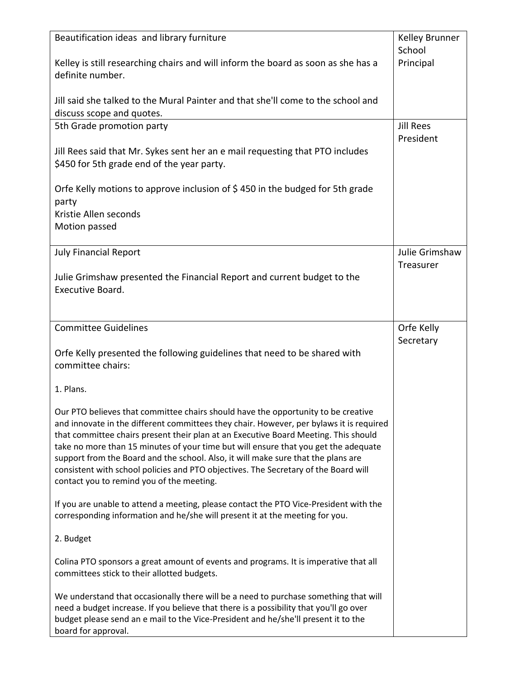| Beautification ideas and library furniture                                                                                                                                     | Kelley Brunner<br>School |
|--------------------------------------------------------------------------------------------------------------------------------------------------------------------------------|--------------------------|
| Kelley is still researching chairs and will inform the board as soon as she has a                                                                                              | Principal                |
| definite number.                                                                                                                                                               |                          |
|                                                                                                                                                                                |                          |
| Jill said she talked to the Mural Painter and that she'll come to the school and                                                                                               |                          |
| discuss scope and quotes.                                                                                                                                                      |                          |
| 5th Grade promotion party                                                                                                                                                      | <b>Jill Rees</b>         |
|                                                                                                                                                                                | President                |
| Jill Rees said that Mr. Sykes sent her an e mail requesting that PTO includes                                                                                                  |                          |
| \$450 for 5th grade end of the year party.                                                                                                                                     |                          |
| Orfe Kelly motions to approve inclusion of \$450 in the budged for 5th grade                                                                                                   |                          |
| party                                                                                                                                                                          |                          |
| Kristie Allen seconds                                                                                                                                                          |                          |
| Motion passed                                                                                                                                                                  |                          |
|                                                                                                                                                                                |                          |
| <b>July Financial Report</b>                                                                                                                                                   | Julie Grimshaw           |
|                                                                                                                                                                                | Treasurer                |
| Julie Grimshaw presented the Financial Report and current budget to the                                                                                                        |                          |
| Executive Board.                                                                                                                                                               |                          |
|                                                                                                                                                                                |                          |
| <b>Committee Guidelines</b>                                                                                                                                                    | Orfe Kelly               |
|                                                                                                                                                                                | Secretary                |
| Orfe Kelly presented the following guidelines that need to be shared with                                                                                                      |                          |
| committee chairs:                                                                                                                                                              |                          |
|                                                                                                                                                                                |                          |
| 1. Plans.                                                                                                                                                                      |                          |
| Our PTO believes that committee chairs should have the opportunity to be creative                                                                                              |                          |
| and innovate in the different committees they chair. However, per bylaws it is required                                                                                        |                          |
| that committee chairs present their plan at an Executive Board Meeting. This should                                                                                            |                          |
| take no more than 15 minutes of your time but will ensure that you get the adequate                                                                                            |                          |
| support from the Board and the school. Also, it will make sure that the plans are<br>consistent with school policies and PTO objectives. The Secretary of the Board will       |                          |
| contact you to remind you of the meeting.                                                                                                                                      |                          |
|                                                                                                                                                                                |                          |
| If you are unable to attend a meeting, please contact the PTO Vice-President with the                                                                                          |                          |
| corresponding information and he/she will present it at the meeting for you.                                                                                                   |                          |
| 2. Budget                                                                                                                                                                      |                          |
|                                                                                                                                                                                |                          |
| Colina PTO sponsors a great amount of events and programs. It is imperative that all                                                                                           |                          |
| committees stick to their allotted budgets.                                                                                                                                    |                          |
|                                                                                                                                                                                |                          |
| We understand that occasionally there will be a need to purchase something that will<br>need a budget increase. If you believe that there is a possibility that you'll go over |                          |
| budget please send an e mail to the Vice-President and he/she'll present it to the                                                                                             |                          |
| board for approval.                                                                                                                                                            |                          |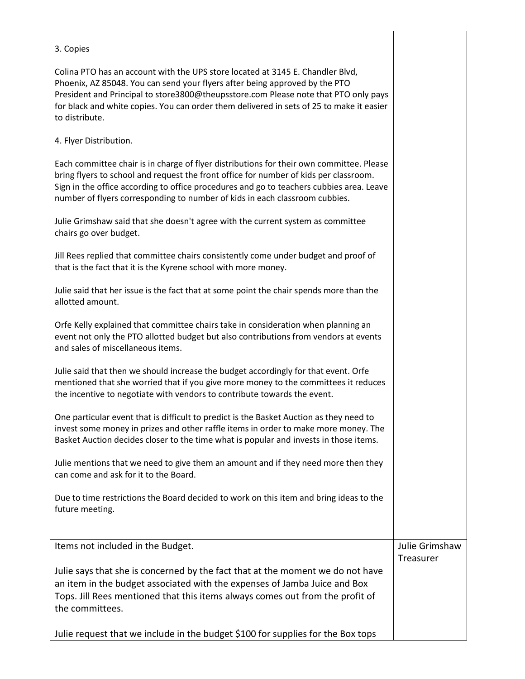### 3. Copies

Colina PTO has an account with the UPS store located at 3145 E. Chandler Blvd, Phoenix, AZ 85048. You can send your flyers after being approved by the PTO President and Principal to store3800@theupsstore.com Please note that PTO only pays for black and white copies. You can order them delivered in sets of 25 to make it easier to distribute.

## 4. Flyer Distribution.

Each committee chair is in charge of flyer distributions for their own committee. Please bring flyers to school and request the front office for number of kids per classroom. Sign in the office according to office procedures and go to teachers cubbies area. Leave number of flyers corresponding to number of kids in each classroom cubbies.

Julie Grimshaw said that she doesn't agree with the current system as committee chairs go over budget.

Jill Rees replied that committee chairs consistently come under budget and proof of that is the fact that it is the Kyrene school with more money.

Julie said that her issue is the fact that at some point the chair spends more than the allotted amount.

Orfe Kelly explained that committee chairs take in consideration when planning an event not only the PTO allotted budget but also contributions from vendors at events and sales of miscellaneous items.

Julie said that then we should increase the budget accordingly for that event. Orfe mentioned that she worried that if you give more money to the committees it reduces the incentive to negotiate with vendors to contribute towards the event.

One particular event that is difficult to predict is the Basket Auction as they need to invest some money in prizes and other raffle items in order to make more money. The Basket Auction decides closer to the time what is popular and invests in those items.

Julie mentions that we need to give them an amount and if they need more then they can come and ask for it to the Board.

Due to time restrictions the Board decided to work on this item and bring ideas to the future meeting.

Items not included in the Budget. Julie says that she is concerned by the fact that at the moment we do not have an item in the budget associated with the expenses of Jamba Juice and Box Tops. Jill Rees mentioned that this items always comes out from the profit of the committees. Julie request that we include in the budget \$100 for supplies for the Box tops Julie Grimshaw **Treasurer**